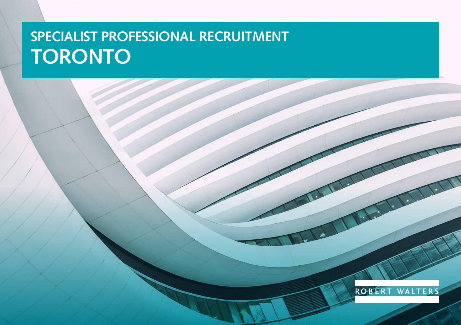# **SPECIALIST PROFESSIONAL RECRUITMENT TORONTO**

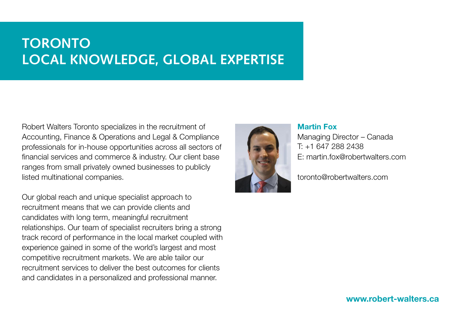### **TORONTO LOCAL KNOWLEDGE, GLOBAL EXPERTISE**

Robert Walters Toronto specializes in the recruitment of Accounting, Finance & Operations and Legal & Compliance professionals for in-house opportunities across all sectors of financial services and commerce & industry. Our client base ranges from small privately owned businesses to publicly listed multinational companies.

Our global reach and unique specialist approach to recruitment means that we can provide clients and candidates with long term, meaningful recruitment relationships. Our team of specialist recruiters bring a strong track record of performance in the local market coupled with experience gained in some of the world's largest and most competitive recruitment markets. We are able tailor our recruitment services to deliver the best outcomes for clients and candidates in a personalized and professional manner.



#### Martin Fox

Managing Director – Canada T: +1 647 288 2438 E: martin.fox@robertwalters.com

toronto@robertwalters.com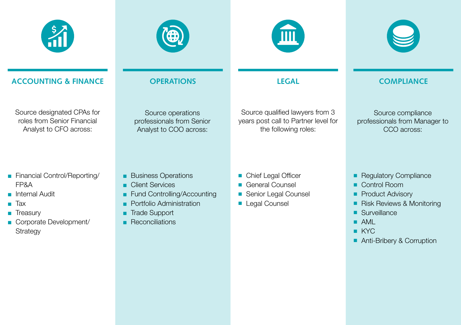



**LEGAL**



#### **ACCOUNTING & FINANCE**

Source designated CPAs for roles from Senior Financial Analyst to CFO across:

- Financial Control/Reporting/ FP&A
- Internal Audit
- Tax
- Treasury
- Corporate Development/ **Strategy**

#### **OPERATIONS**

Source operations professionals from Senior Analyst to COO across:

#### Source qualified lawyers from 3 years post call to Partner level for the following roles:

### **COMPLIANCE**

Source compliance professionals from Manager to CCO across:

- Business Operations
- Client Services
- Fund Controlling/Accounting
- Portfolio Administration
- Trade Support
- Reconciliations
- Chief Legal Officer
- General Counsel
- Senior Legal Counsel
- Legal Counsel
- Regulatory Compliance
- Control Room
- Product Advisory
- Risk Reviews & Monitoring
- Surveillance
- AML
- KYC
- Anti-Bribery & Corruption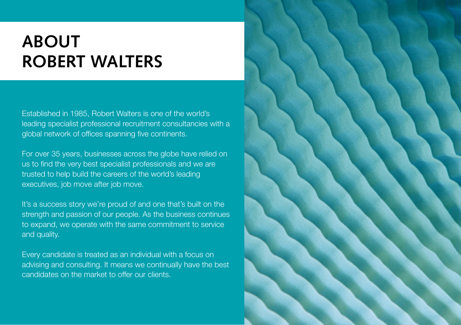## **ABOUT ROBERT WALTERS**

Established in 1985, Robert Walters is one of the world's leading specialist professional recruitment consultancies with a global network of offices spanning five continents.

For over 35 years, businesses across the globe have relied on us to find the very best specialist professionals and we are trusted to help build the careers of the world's leading executives, job move after job move.

It's a success story we're proud of and one that's built on the strength and passion of our people. As the business continues to expand, we operate with the same commitment to service and quality.

Every candidate is treated as an individual with a focus on advising and consulting. It means we continually have the best candidates on the market to offer our clients.